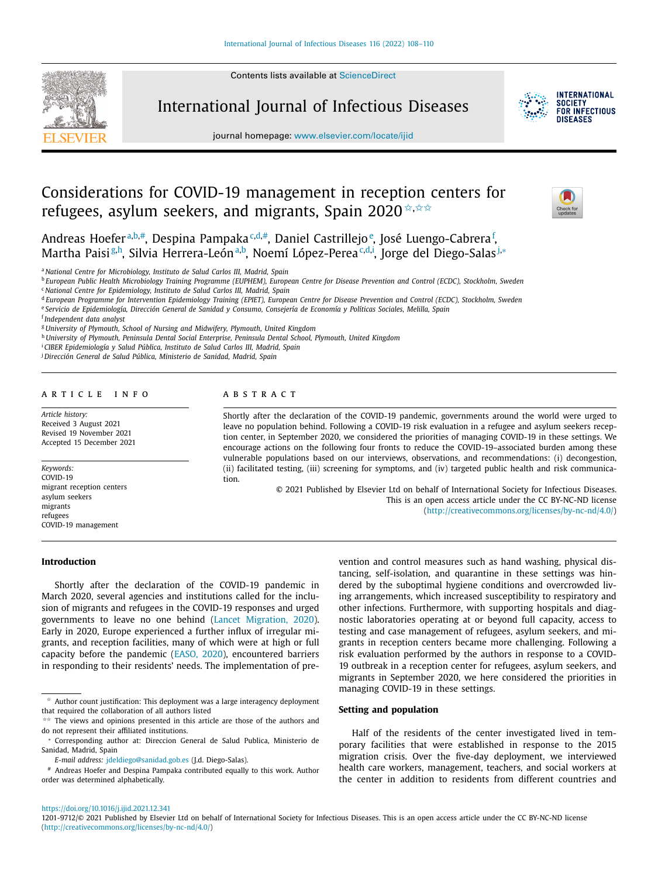Contents lists available at [ScienceDirect](http://www.ScienceDirect.com)



International Journal of Infectious Diseases



journal homepage: [www.elsevier.com/locate/ijid](http://www.elsevier.com/locate/ijid)

# Considerations for COVID-19 management in reception centers for refugees, asylum seekers, and migrants, Spain 2020  $\star$ ,  $\star \star \star$



Andreas Hoefer<sup>a,b,#</sup>, Despina Pampaka<sup>c,d,#</sup>, Daniel Castrillejo<sup>e</sup>, José Luengo-Cabrera<sup>f</sup>, Martha Paisi<sup>g,h</sup>, Silvia Herrera-León<sup>a,b</sup>, Noemí López-Perea<sup>c,d,i</sup>, Jorge del Diego-Salas<sup>j,</sup>\*

<sup>a</sup> *National Centre for Microbiology, Instituto de Salud Carlos III, Madrid, Spain*

<sup>b</sup> European Public Health Microbiology Training Programme (EUPHEM), European Centre for Disease Prevention and Control (ECDC), Stockholm, Sweden

<sup>d</sup> European Programme for Intervention Epidemiology Training (EPIET), European Centre for Disease Prevention and Control (ECDC), Stockholm, Sweden

e Servicio de Epidemiología, Dirección General de Sanidad y Consumo, Consejería de Economía y Políticas Sociales, Melilla, Spain

<sup>h</sup> *University of Plymouth, Peninsula Dental Social Enterprise, Peninsula Dental School, Plymouth, United Kingdom*

<sup>i</sup> *CIBER Epidemiología y Salud Pública, Instituto de Salud Carlos III, Madrid, Spain*

<sup>j</sup> *Dirección General de Salud Pública, Ministerio de Sanidad, Madrid, Spain*

#### a r t i c l e i n f o

*Article history:* Received 3 August 2021 Revised 19 November 2021 Accepted 15 December 2021

*Keywords:* COVID-19 migrant reception centers asylum seekers migrants refugees COVID-19 management

## A B S T R A C T

Shortly after the declaration of the COVID-19 pandemic, governments around the world were urged to leave no population behind. Following a COVID-19 risk evaluation in a refugee and asylum seekers reception center, in September 2020, we considered the priorities of managing COVID-19 in these settings. We encourage actions on the following four fronts to reduce the COVID-19–associated burden among these vulnerable populations based on our interviews, observations, and recommendations: (i) decongestion, (ii) facilitated testing, (iii) screening for symptoms, and (iv) targeted public health and risk communication.

> © 2021 Published by Elsevier Ltd on behalf of International Society for Infectious Diseases. This is an open access article under the CC BY-NC-ND license [\(http://creativecommons.org/licenses/by-nc-nd/4.0/\)](http://creativecommons.org/licenses/by-nc-nd/4.0/)

## **Introduction**

Shortly after the declaration of the COVID-19 pandemic in March 2020, several agencies and institutions called for the inclusion of migrants and refugees in the COVID-19 responses and urged governments to leave no one behind (Lancet [Migration,](#page-2-0) 2020). Early in 2020, Europe experienced a further influx of irregular migrants, and reception facilities, many of which were at high or full capacity before the pandemic [\(EASO,](#page-2-0) 2020), encountered barriers in responding to their residents' needs. The implementation of pre-

vention and control measures such as hand washing, physical distancing, self-isolation, and quarantine in these settings was hindered by the suboptimal hygiene conditions and overcrowded living arrangements, which increased susceptibility to respiratory and other infections. Furthermore, with supporting hospitals and diagnostic laboratories operating at or beyond full capacity, access to testing and case management of refugees, asylum seekers, and migrants in reception centers became more challenging. Following a risk evaluation performed by the authors in response to a COVID-19 outbreak in a reception center for refugees, asylum seekers, and migrants in September 2020, we here considered the priorities in managing COVID-19 in these settings.

#### **Setting and population**

Half of the residents of the center investigated lived in temporary facilities that were established in response to the 2015 migration crisis. Over the five-day deployment, we interviewed health care workers, management, teachers, and social workers at the center in addition to residents from different countries and

#### <https://doi.org/10.1016/j.ijid.2021.12.341>

<sup>c</sup> *National Centre for Epidemiology, Instituto de Salud Carlos III, Madrid, Spain*

<sup>f</sup> *Independent data analyst*

<sup>g</sup> *University of Plymouth, School of Nursing and Midwifery, Plymouth, United Kingdom*

 $\star$  Author count justification: This deployment was a large interagency deployment that required the collaboration of all authors listed

<sup>✩✩</sup> The views and opinions presented in this article are those of the authors and do not represent their affiliated institutions.

<sup>∗</sup> Corresponding author at: Direccion General de Salud Publica, Ministerio de Sanidad, Madrid, Spain

*E-mail address:* [jdeldiego@sanidad.gob.es](mailto:jdeldiego@sanidad.gob.es) (J.d. Diego-Salas).

<sup>#</sup> Andreas Hoefer and Despina Pampaka contributed equally to this work. Author order was determined alphabetically.

<sup>1201-9712/© 2021</sup> Published by Elsevier Ltd on behalf of International Society for Infectious Diseases. This is an open access article under the CC BY-NC-ND license [\(http://creativecommons.org/licenses/by-nc-nd/4.0/\)](http://creativecommons.org/licenses/by-nc-nd/4.0/)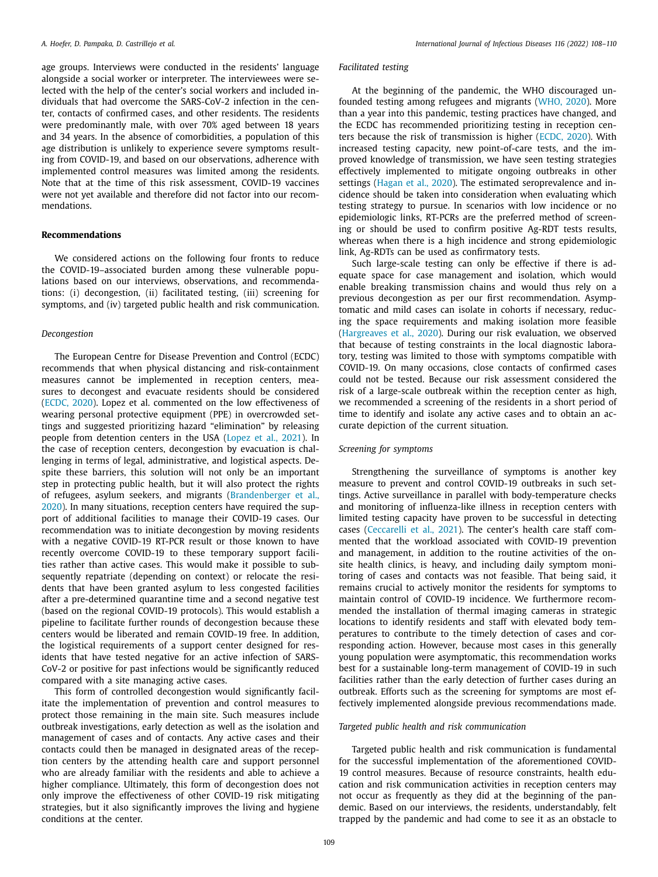age groups. Interviews were conducted in the residents' language alongside a social worker or interpreter. The interviewees were selected with the help of the center's social workers and included individuals that had overcome the SARS-CoV-2 infection in the center, contacts of confirmed cases, and other residents. The residents were predominantly male, with over 70% aged between 18 years and 34 years. In the absence of comorbidities, a population of this age distribution is unlikely to experience severe symptoms resulting from COVID-19, and based on our observations, adherence with implemented control measures was limited among the residents. Note that at the time of this risk assessment, COVID-19 vaccines were not yet available and therefore did not factor into our recommendations.

## **Recommendations**

We considered actions on the following four fronts to reduce the COVID-19–associated burden among these vulnerable populations based on our interviews, observations, and recommendations: (i) decongestion, (ii) facilitated testing, (iii) screening for symptoms, and (iv) targeted public health and risk communication.

#### *Decongestion*

The European Centre for Disease Prevention and Control (ECDC) recommends that when physical distancing and risk-containment measures cannot be implemented in reception centers, measures to decongest and evacuate residents should be considered [\(ECDC,](#page-2-0) 2020). Lopez et al. commented on the low effectiveness of wearing personal protective equipment (PPE) in overcrowded settings and suggested prioritizing hazard "elimination" by releasing people from detention centers in the USA [\(Lopez](#page-2-0) et al., 2021). In the case of reception centers, decongestion by evacuation is challenging in terms of legal, administrative, and logistical aspects. Despite these barriers, this solution will not only be an important step in protecting public health, but it will also protect the rights of refugees, asylum seekers, and migrants [\(Brandenberger](#page-2-0) et al., 2020). In many situations, reception centers have required the support of additional facilities to manage their COVID-19 cases. Our recommendation was to initiate decongestion by moving residents with a negative COVID-19 RT-PCR result or those known to have recently overcome COVID-19 to these temporary support facilities rather than active cases. This would make it possible to subsequently repatriate (depending on context) or relocate the residents that have been granted asylum to less congested facilities after a pre-determined quarantine time and a second negative test (based on the regional COVID-19 protocols). This would establish a pipeline to facilitate further rounds of decongestion because these centers would be liberated and remain COVID-19 free. In addition, the logistical requirements of a support center designed for residents that have tested negative for an active infection of SARS-CoV-2 or positive for past infections would be significantly reduced compared with a site managing active cases.

This form of controlled decongestion would significantly facilitate the implementation of prevention and control measures to protect those remaining in the main site. Such measures include outbreak investigations, early detection as well as the isolation and management of cases and of contacts. Any active cases and their contacts could then be managed in designated areas of the reception centers by the attending health care and support personnel who are already familiar with the residents and able to achieve a higher compliance. Ultimately, this form of decongestion does not only improve the effectiveness of other COVID-19 risk mitigating strategies, but it also significantly improves the living and hygiene conditions at the center.

# *Facilitated testing*

At the beginning of the pandemic, the WHO discouraged unfounded testing among refugees and migrants [\(WHO,](#page-2-0) 2020). More than a year into this pandemic, testing practices have changed, and the ECDC has recommended prioritizing testing in reception centers because the risk of transmission is higher [\(ECDC,](#page-2-0) 2020). With increased testing capacity, new point-of-care tests, and the improved knowledge of transmission, we have seen testing strategies effectively implemented to mitigate ongoing outbreaks in other settings [\(Hagan](#page-2-0) et al., 2020). The estimated seroprevalence and incidence should be taken into consideration when evaluating which testing strategy to pursue. In scenarios with low incidence or no epidemiologic links, RT-PCRs are the preferred method of screening or should be used to confirm positive Ag-RDT tests results, whereas when there is a high incidence and strong epidemiologic link, Ag-RDTs can be used as confirmatory tests.

Such large-scale testing can only be effective if there is adequate space for case management and isolation, which would enable breaking transmission chains and would thus rely on a previous decongestion as per our first recommendation. Asymptomatic and mild cases can isolate in cohorts if necessary, reducing the space requirements and making isolation more feasible [\(Hargreaves](#page-2-0) et al., 2020). During our risk evaluation, we observed that because of testing constraints in the local diagnostic laboratory, testing was limited to those with symptoms compatible with COVID-19. On many occasions, close contacts of confirmed cases could not be tested. Because our risk assessment considered the risk of a large-scale outbreak within the reception center as high, we recommended a screening of the residents in a short period of time to identify and isolate any active cases and to obtain an accurate depiction of the current situation.

#### *Screening for symptoms*

Strengthening the surveillance of symptoms is another key measure to prevent and control COVID-19 outbreaks in such settings. Active surveillance in parallel with body-temperature checks and monitoring of influenza-like illness in reception centers with limited testing capacity have proven to be successful in detecting cases [\(Ceccarelli](#page-2-0) et al., 2021). The center's health care staff commented that the workload associated with COVID-19 prevention and management, in addition to the routine activities of the onsite health clinics, is heavy, and including daily symptom monitoring of cases and contacts was not feasible. That being said, it remains crucial to actively monitor the residents for symptoms to maintain control of COVID-19 incidence. We furthermore recommended the installation of thermal imaging cameras in strategic locations to identify residents and staff with elevated body temperatures to contribute to the timely detection of cases and corresponding action. However, because most cases in this generally young population were asymptomatic, this recommendation works best for a sustainable long-term management of COVID-19 in such facilities rather than the early detection of further cases during an outbreak. Efforts such as the screening for symptoms are most effectively implemented alongside previous recommendations made.

#### *Targeted public health and risk communication*

Targeted public health and risk communication is fundamental for the successful implementation of the aforementioned COVID-19 control measures. Because of resource constraints, health education and risk communication activities in reception centers may not occur as frequently as they did at the beginning of the pandemic. Based on our interviews, the residents, understandably, felt trapped by the pandemic and had come to see it as an obstacle to